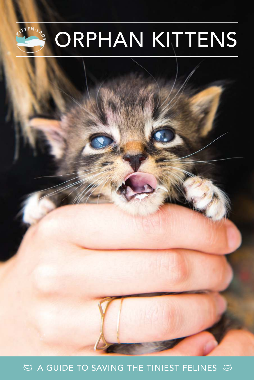

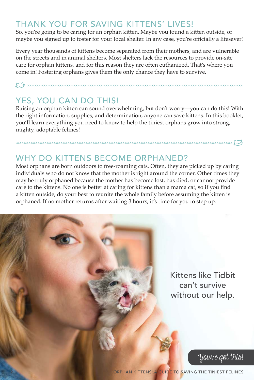### THANK YOU FOR SAVING KITTENS' LIVES!

So, you're going to be caring for an orphan kitten. Maybe you found a kitten outside, or maybe you signed up to foster for your local shelter. In any case, you're officially a lifesaver!

Every year thousands of kittens become separated from their mothers, and are vulnerable on the streets and in animal shelters. Most shelters lack the resources to provide on-site care for orphan kittens, and for this reason they are often euthanized. That's where you come in! Fostering orphans gives them the only chance they have to survive.

# YES, YOU CAN DO THIS!

^

Raising an orphan kitten can sound overwhelming, but don't worry—you can do this! With the right information, supplies, and determination, anyone can save kittens. In this booklet, you'll learn everything you need to know to help the tiniest orphans grow into strong, mighty, adoptable felines!

# WHY DO KITTENS BECOME ORPHANED?

Most orphans are born outdoors to free-roaming cats. Often, they are picked up by caring individuals who do not know that the mother is right around the corner. Other times they may be truly orphaned because the mother has become lost, has died, or cannot provide care to the kittens. No one is better at caring for kittens than a mama cat, so if you find a kitten outside, do your best to reunite the whole family before assuming the kitten is orphaned. If no mother returns after waiting 3 hours, it's time for you to step up.

> Kittens like Tidbit can't survive without our help.



 $\mathbb{C}$ 

ORPHAN KITTENS: A GUIDE TO SAVING THE TINIEST FELINES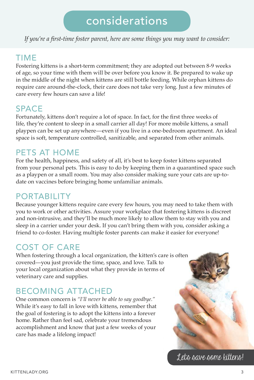# considerations

*If you're a first-time foster parent, here are some things you may want to consider:*

### TIME

Fostering kittens is a short-term commitment; they are adopted out between 8-9 weeks of age, so your time with them will be over before you know it. Be prepared to wake up in the middle of the night when kittens are still bottle feeding. While orphan kittens do require care around-the-clock, their care does not take very long. Just a few minutes of care every few hours can save a life!

### SPACE

Fortunately, kittens don't require a lot of space. In fact, for the first three weeks of life, they're content to sleep in a small carrier all day! For more mobile kittens, a small playpen can be set up anywhere —even if you live in a one-bedroom apartment. An ideal space is soft, temperature controlled, sanitizable, and separated from other animals.

### PETS AT HOME

For the health, happiness, and safety of all, it's best to keep foster kittens separated from your personal pets. This is easy to do by keeping them in a quarantined space such as a playpen or a small room. You may also consider making sure your cats are up-todate on vaccines before bringing home unfamiliar animals.

### PORTABILITY

Because younger kittens require care every few hours, you may need to take them with you to work or other activities. Assure your workplace that fostering kittens is discreet and non-intrusive, and they'll be much more likely to allow them to stay with you and sleep in a carrier under your desk. If you can't bring them with you, consider asking a friend to co-foster. Having multiple foster parents can make it easier for everyone!

# COST OF CARE

When fostering through a local organization, the kitten's care is often covered—you just provide the time, space, and love. Talk to your local organization about what they provide in terms of veterinary care and supplies.

# BECOMING ATTACHED

One common concern is *"I'll never be able to say goodbye."*  While it's easy to fall in love with kittens, remember that the goal of fostering is to adopt the kittens into a forever home. Rather than feel sad, celebrate your tremendous accomplishment and know that just a few weeks of your care has made a lifelong impact!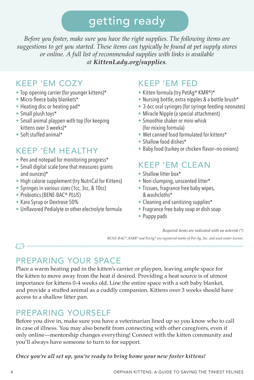# getting ready

*Before you foster, make sure you have the right supplies. The following items are suggestions to get you started. These items can typically be found at pet supply stores or online. A full list of recommended supplies with links is available at KittenLady.org/supplies.*

### KEEP 'EM COZY

- Top-opening carrier (for younger kittens)\*
- Micro-fleece baby blankets\*
- Heating disc or heating pad\*
- Small plush toys\*
- Small animal playpen with top (for keeping kittens over 3 weeks)\*
- Soft stuffed animal\*

# KEEP 'EM HEALTHY

- Pen and notepad for monitoring progress\*
- Small digital scale (one that measures grams and ounces)\*
- High calorie supplement (try NutriCal for Kittens)
- Syringes in various sizes (1cc, 3cc, & 10cc)
- Probiotics (BENE-BAC® *PLUS*)
- Karo Syrup or Dextrose 50%
- Unflavored Pedialyte or other electrolyte formula

# KEEP 'EM FED

- Kitten formula (try PetAg® KMR®)\*
- Nursing bottle, extra nipples & a bottle brush\*
- 3-6cc oral syringes (for syringe feeding neonates)
- Miracle Nipple (a special attachment)
- Smoothie shaker or mini-whisk (for mixing formula)
- Wet canned food formulated for kittens\*
- Shallow food dishes\*
- Baby food (turkey or chicken flavor—no onions)

# KEEP 'EM CLEAN

- Shallow litter box\*
- Non-clumping, unscented litter\*
- Tissues, fragrance free baby wipes, & washcloths\*
- Cleaning and sanitizing supplies\*
- Fragrance free baby soap or dish soap
- Puppy pads

*Required items are indicated with an asterisk (\*)*

*BENE-BAC® , KMR® and PetAg® are registered marks of Pet-Ag, Inc. and used under license.*

 $\mathbb{C}$ 

# PREPARING YOUR SPACE

Place a warm heating pad in the kitten's carrier or playpen, leaving ample space for the kitten to move away from the heat if desired. Providing a heat source is of utmost importance for kittens 0-4 weeks old. Line the entire space with a soft baby blanket, and provide a stuffed animal as a cuddly companion. Kittens over 3 weeks should have access to a shallow litter pan.

# PREPARING YOURSELF

Before you dive in, make sure you have a veterinarian lined up so you know who to call in case of illness. You may also benefit from connecting with other caregivers, even if only online—mentorship changes everything! Connect with the kitten community and you'll always have someone to turn to for support.

*Once you're all set up, you're ready to bring home your new foster kittens!*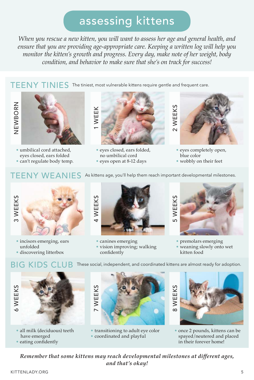# assessing kittens

*When you rescue a new kitten, you will want to assess her age and general health, and ensure that you are providing age-appropriate care. Keeping a written log will help you monitor the kitten's growth and progress. Every day, make note of her weight, body condition, and behavior to make sure that she's on track for success!*

TEENY TINIES The tiniest, most vulnerable kittens require gentle and frequent care.





• umbilical cord attached, eyes closed, ears folded

• can't regulate body temp.



• eyes closed, ears folded, no umbilical cord

• eyes open at 8-12 days



- eyes completely open, blue color
- wobbly on their feet

### $\mathsf{TEENY}\ \mathsf{WEANIES}\>$  As kittens age, you'll help them reach important developmental milestones.



• incisors emerging, ears unfolded • discovering litterbox



- canines emerging
- vision improving; walking confidently

BIG KIDS CLUB These social, independent, and coordinated kittens are almost ready for adoption.



- premolars emerging
- weaning slowly onto wet kitten food



- all milk (deciduous) teeth have emerged
- eating confidently



• transitioning to adult eye color • coordinated and playful



• once 2 pounds, kittens can be spayed/neutered and placed in their forever home!

*Remember that some kittens may reach developmental milestones at different ages, and that's okay!*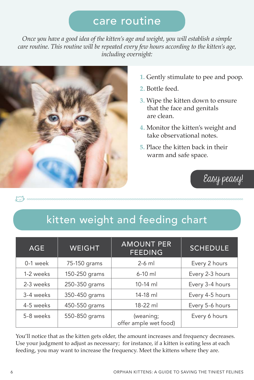# care routine

*Once you have a good idea of the kitten's age and weight, you will establish a simple care routine. This routine will be repeated every few hours according to the kitten's age, including overnight:*



- **1.** Gently stimulate to pee and poop.
- **2.** Bottle feed.
- **3.** Wipe the kitten down to ensure that the face and genitals are clean.
- **4.** Monitor the kitten's weight and take observational notes.
- **5.** Place the kitten back in their warm and safe space.

# Easy peasy!

 $\mathbb{C}$ 

# kitten weight and feeding chart

| <b>AGE</b> | <b>WEIGHT</b> | <b>AMOUNT PER</b><br><b>FEEDING</b> | <b>SCHEDULE</b> |
|------------|---------------|-------------------------------------|-----------------|
| 0-1 week   | 75-150 grams  | $2-6$ ml                            | Every 2 hours   |
| 1-2 weeks  | 150-250 grams | $6-10$ ml                           | Every 2-3 hours |
| 2-3 weeks  | 250-350 grams | $10-14$ ml                          | Every 3-4 hours |
| 3-4 weeks  | 350-450 grams | $14-18$ ml                          | Every 4-5 hours |
| 4-5 weeks  | 450-550 grams | $18-22$ ml                          | Every 5-6 hours |
| 5-8 weeks  | 550-850 grams | (weaning;<br>offer ample wet food)  | Every 6 hours   |

You'll notice that as the kitten gets older, the amount increases and frequency decreases. Use your judgment to adjust as necessary; for instance, if a kitten is eating less at each feeding, you may want to increase the frequency. Meet the kittens where they are.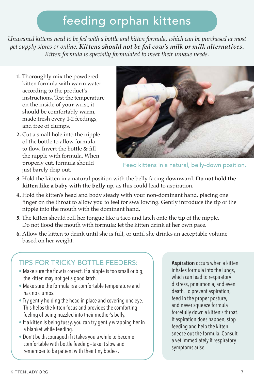# feeding orphan kittens

*Unweaned kittens need to be fed with a bottle and kitten formula, which can be purchased at most pet supply stores or online. Kittens should not be fed cow's milk or milk alternatives. Kitten formula is specially formulated to meet their unique needs.*

- **1.** Thoroughly mix the powdered kitten formula with warm water according to the product's instructions. Test the temperature on the inside of your wrist; it should be comfortably warm, made fresh every 1-2 feedings, and free of clumps.
- **2.** Cut a small hole into the nipple of the bottle to allow formula to flow. Invert the bottle & fill the nipple with formula. When properly cut, formula should just barely drip out.



Feed kittens in a natural, belly-down position.

- **3.** Hold the kitten in a natural position with the belly facing downward. **Do not hold the kitten like a baby with the belly up**, as this could lead to aspiration.
- **4.** Hold the kitten's head and body steady with your non-dominant hand, placing one finger on the throat to allow you to feel for swallowing. Gently introduce the tip of the nipple into the mouth with the dominant hand.
- **5.** The kitten should roll her tongue like a taco and latch onto the tip of the nipple. Do not flood the mouth with formula; let the kitten drink at her own pace.
- **6.** Allow the kitten to drink until she is full, or until she drinks an acceptable volume based on her weight.

### TIPS FOR TRICKY BOTTLE FEEDERS:

- Make sure the flow is correct. If a nipple is too small or big, the kitten may not get a good latch.
- Make sure the formula is a comfortable temperature and has no clumps.
- Try gently holding the head in place and covering one eye. This helps the kitten focus and provides the comforting feeling of being nuzzled into their mother's belly.
- If a kitten is being fussy, you can try gently wrapping her in a blanket while feeding.
- Don't be discouraged if it takes you a while to become comfortable with bottle feeding —take it slow and remember to be patient with their tiny bodies.

**Aspiration** occurs when a kitten inhales formula into the lungs, which can lead to respiratory distress, pneumonia, and even death. To prevent aspiration, feed in the proper posture, and never squeeze formula forcefully down a kitten's throat. If aspiration does happen, stop feeding and help the kitten sneeze out the formula. Consult a vet immediately if respiratory symptoms arise.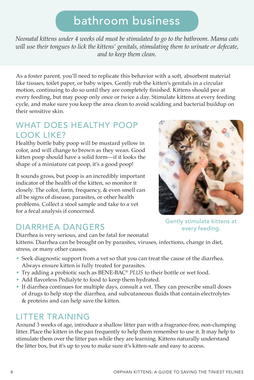# bathroom business

*Neonatal kittens under 4 weeks old must be stimulated to go to the bathroom. Mama cats will use their tongues to lick the kittens' genitals, stimulating them to urinate or defecate, and to keep them clean.*

As a foster parent, you'll need to replicate this behavior with a soft, absorbent material like tissues, toilet paper, or baby wipes. Gently rub the kitten's genitals in a circular motion, continuing to do so until they are completely finished. Kittens should pee at every feeding, but may poop only once or twice a day. Stimulate kittens at every feeding cycle, and make sure you keep the area clean to avoid scalding and bacterial buildup on their sensitive skin.

### WHAT DOES HEALTHY POOP LOOK LIKE?

Healthy bottle baby poop will be mustard yellow in color, and will change to brown as they wean. Good kitten poop should have a solid form—if it looks the shape of a miniature cat poop, it's a good poop!

It sounds gross, but poop is an incredibly important indicator of the health of the kitten, so monitor it closely. The color, form, frequency, & even smell can all be signs of disease, parasites, or other health problems. Collect a stool sample and take to a vet for a fecal analysis if concerned.



# DIARRHEA DANGERS

Diarrhea is very serious, and can be fatal for neonatal

kittens. Diarrhea can be brought on by parasites, viruses, infections, change in diet, stress, or many other causes.

- Seek diagnostic support from a vet so that you can treat the cause of the diarrhea. Always ensure kitten is fully treated for parasites.
- Try adding a probiotic such as BENE-BAC® *PLUS* to their bottle or wet food.
- Add flavorless Pedialyte to food to keep them hydrated.
- If diarrhea continues for multiple days, consult a vet. They can prescribe small doses of drugs to help stop the diarrhea, and subcutaneous fluids that contain electrolytes & proteins and can help save the kitten.

# LITTER TRAINING

Around 3 weeks of age, introduce a shallow litter pan with a fragrance-free, non-clumping litter. Place the kitten in the pan frequently to help them remember to use it. It may help to stimulate them over the litter pan while they are learning. Kittens naturally understand the litter box, but it's up to you to make sure it's kitten-safe and easy to access.

Gently stimulate kittens at every feeding.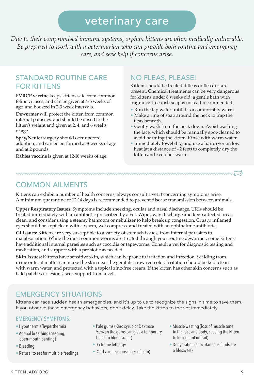# veterinary care

*Due to their compromised immune systems, orphan kittens are often medically vulnerable. Be prepared to work with a veterinarian who can provide both routine and emergency care, and seek help if concerns arise.*

#### STANDARD ROUTINE CARE FOR KITTENS

**FVRCP vaccine** keeps kittens safe from common feline viruses, and can be given at 4-6 weeks of age, and boosted in 2-3 week intervals.

**Dewormer** will protect the kitten from common internal parasites, and should be dosed to the kitten's weight and given at 2, 4, and 6 weeks of age.

**Spay/Neuter** surgery should occur before adoption, and can be performed at 8 weeks of age and at 2 pounds.

**Rabies vaccine** is given at 12-16 weeks of age.

#### NO FLEAS, PLEASE!

Kittens should be treated if fleas or flea dirt are present. Chemical treatments can be very dangerous for kittens under 8 weeks old; a gentle bath with fragrance-free dish soap is instead recommended.

- Run the tap water until it is a comfortably warm.
- Make a ring of soap around the neck to trap the fleas beneath.
- Gently wash from the neck down. Avoid washing the face, which should be manually spot-cleaned to avoid harming the kitten. Rinse with warm water.
- Immediately towel dry, and use a hairdryer on low heat (at a distance of ~2 feet) to completely dry the kitten and keep her warm.

#### COMMON AILMENTS

Kittens can exhibit a number of health concerns; always consult a vet if concerning symptoms arise. A minimum quarantine of 12-14 days is recommended to prevent disease transmission between animals.

 $\overline{\cdots}$  . The concerned concerned concerned concerned concerned concerned concerned concerned concerned concerned concerned  $\overline{\cdots}$ 

**Upper Respiratory Issues:** Symptoms include sneezing, ocular and nasal discharge. URIs should be treated immediately with an antibiotic prescribed by a vet. Wipe away discharge and keep affected areas clean, and consider using a steamy bathroom or nebulizer to help break up congestion. Crusty, inflamed eyes should be kept clean with a warm, wet compress, and treated with an ophthalmic antibiotic.

**GI Issues:** Kittens are very susceptible to a variety of stomach issues, from internal parasites to malabsorption. While the most common worms are treated through your routine dewormer, some kittens have additional internal parasites such as coccidia or tapeworms. Consult a vet for diagnostic testing and medication, and support with a probiotic as needed.

**Skin Issues:** Kittens have sensitive skin, which can be prone to irritation and infection. Scalding from urine or fecal matter can make the skin near the genitals a raw red color. Irritation should be kept clean with warm water, and protected with a topical zinc-free cream. If the kitten has other skin concerns such as bald patches or lesions, seek support from a vet.

### EMERGENCY SITUATIONS

Kittens can face sudden health emergencies, and it's up to us to recognize the signs in time to save them. If you observe these emergency behaviors, don't delay. Take the kitten to the vet immediately.

#### EMERGENCY SYMPTOMS:

- Hypothermia/hyperthermia
- Agonal breathing (gasping, open-mouth panting)
- Bleeding
- Refusal to eat for multiple feedings
- Pale gums (Karo syrup or Dextrose 50% on the gums can give a temporary boost to blood sugar)
- Extreme lethargy
- Odd vocalizations (cries of pain)
- Muscle wasting (loss of muscle tone in the face and body, causing the kitten to look gaunt or frail)
- Dehydration (subcutaneous fluids are a lifesaver!)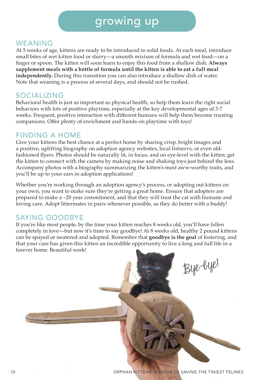# growing up

#### WEANING

At 5 weeks of age, kittens are ready to be introduced to solid foods. At each meal, introduce small bites of wet kitten food or slurry—a smooth mixture of formula and wet food—on a finger or spoon. The kitten will soon learn to enjoy this food from a shallow dish. **Always supplement meals with a bottle of formula until the kitten is able to eat a full meal independently.** During this transition you can also introduce a shallow dish of water. Note that weaning is a process of several days, and should not be rushed.

#### SOCIALIZING

Behavioral health is just as important as physical health, so help them learn the right social behaviors with lots of positive playtime, especially at the key developmental ages of 3-7 weeks. Frequent, positive interaction with different humans will help them become trusting companions. Offer plenty of enrichment and hands-on playtime with toys!

#### FINDING A HOME

Give your kittens the best chance at a perfect home by sharing crisp, bright images and a positive, uplifting biography on adoption agency websites, local listservs, or even oldfashioned flyers. Photos should be naturally lit, in focus, and on eye-level with the kitten; get the kitten to connect with the camera by making noise and shaking toys just behind the lens. Accompany photos with a biography summarizing the kitten's most aww-worthy traits, and you'll be up to your ears in adoption applications!

Whether you're working through an adoption agency's process, or adopting out kittens on your own, you want to make sure they're getting a great home. Ensure that adopters are prepared to make a ~20 year commitment, and that they will treat the cat with humane and loving care. Adopt littermates in pairs whenever possible, as they do better with a buddy!

### SAYING GOODBYE

If you're like most people, by the time your kitten reaches 8 weeks old, you'll have fallen completely in love—but now it's time to say goodbye! At 8 weeks old, healthy 2 pound kittens can be spayed or neutered and adopted. Remember that **goodbye is the goal** of fostering, and that your care has given this kitten an incredible opportunity to live a long and full life in a forever home. Beautiful work!

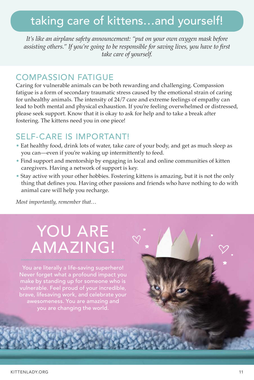# taking care of kittens…and yourself!

*It's like an airplane safety announcement: "put on your own oxygen mask before assisting others." If you're going to be responsible for saving lives, you have to first take care of yourself.*

#### COMPASSION FATIGUE

Caring for vulnerable animals can be both rewarding and challenging. Compassion fatigue is a form of secondary traumatic stress caused by the emotional strain of caring for unhealthy animals. The intensity of 24/7 care and extreme feelings of empathy can lead to both mental and physical exhaustion. If you're feeling overwhelmed or distressed, please seek support. Know that it is okay to ask for help and to take a break after fostering. The kittens need you in one piece!

### SELF-CARE IS IMPORTANT!

- Eat healthy food, drink lots of water, take care of your body, and get as much sleep as you can—even if you're waking up intermittently to feed.
- Find support and mentorship by engaging in local and online communities of kitten caregivers. Having a network of support is key.
- Stay active with your other hobbies. Fostering kittens is amazing, but it is not the only thing that defines you. Having other passions and friends who have nothing to do with animal care will help you recharge.

*Most importantly, remember that…*

# YOU ARE AMAZING!

You are literally a life-saving superhero! Never forget what a profound impact you brave, lifesaving work, and celebrate your